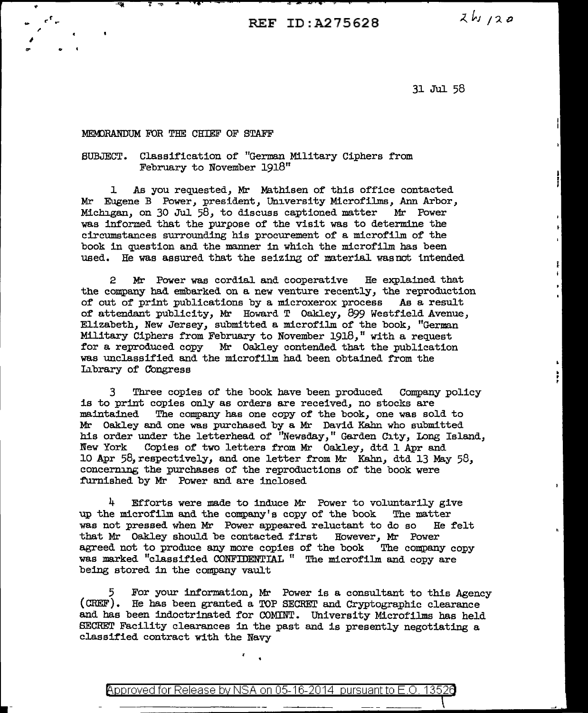REF ID:A27562B

 $2h/120$ 

ŧ

Ŷ.

31 Jul 58

## MEMORANDUM FOR THE CHIEF OF STAFF

.<br>. <sup>7</sup>. ,. I

## SUBJECT. Classification of "German Military Ciphers from February to November 1918"

l As you requested, Mr Mathisen of this office contacted Mr Eugene B Power, president, University Microfilms, Ann Arbor, Michigan, on 30 Jul 58, to discuss captioned matter Mr Power was informed that the purpose of the visit was to determine the circumstances surrounding his procurement of a microfilm of the book in question and the manner in which the microfilm has been used. He was assured that the seizing of material wasnot intended

2 Mr Power was cordial and cooperative He explained that the company had embarked on a new venture recently, the reproduction of out of print publications by a microxerox process As a result of attendant publicity, Mr Howard T Oakley, 899 Westfield Avenue, Elizabeth, New Jersey, submitted a microfilm of the book, "German Military Ciphers from February to November 1918," with a request for a reproduced copy Mr Oakley contended that the publication was unclassified and the microfilm had been obtained from the Library of Congress

3 Three copies of the book have been produced Company policy is to print copies only as orders are received, no stocks are maintained The company has one copy of the book, one was sold to Mr Oakley and one was purchased by a Mr David Kahn who submitted his order under the letterhead of "Newsday," Garden City, Long Island, New York Copies of two letters from Mr Oakley, dtd 1 Apr and 10 Apr 58,respectively, and one letter from Mr Kahn, dtd 13 May 58, concerning the purchases of the reproductions of the book were furnished by Mr Power and are inclosed

4 Efforts were made to induce Mr Power to voluntarily give up the microfilm and the company's copy of the book The matter was not pressed when Mr Power appeared reluctant to do so He felt that Mr Oakley should be contacted first However, Mr Power that Mr Oakley should be contacted first However, Mr Power agreed not to produce any more copies of the book The company copy agreed not to produce any more copies of the book was marked "classified CONFIDENTIAL " The microfilm and copy are being stored in the company vault

5 For your information, Mr Power is a consultant to this Agency (CHEF) • He has been granted a TOP SECREr and Cryptographic clearance and has been indoctrinated for COMINT. University Microfilms has held SECRET Facility clearances in the past and is presently negotiating a classified contract with the Navy

<code>Approved</code> for Release by NSA on 05-16-2014  $\,$  pursuant to E.O. 13526  $\,$